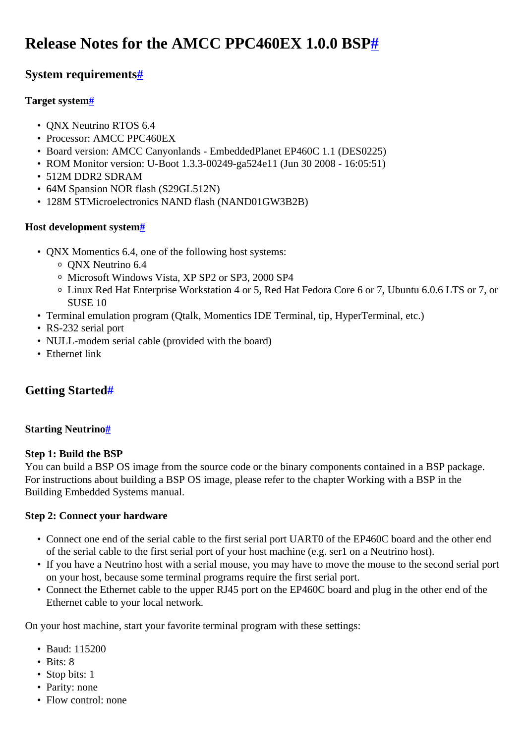# <span id="page-0-0"></span>**Release Notes for the AMCC PPC460EX 1.0.0 BSP[#](#page-0-0)**

## <span id="page-0-1"></span>**System requirement[s#](#page-0-1)**

## <span id="page-0-2"></span>**Target system[#](#page-0-2)**

- QNX Neutrino RTOS 6.4
- Processor: AMCC PPC460EX
- Board version: AMCC Canyonlands EmbeddedPlanet EP460C 1.1 (DES0225)
- ROM Monitor version: U-Boot 1.3.3-00249-ga524e11 (Jun 30 2008 16:05:51)
- 512M DDR2 SDRAM
- 64M Spansion NOR flash (S29GL512N)
- 128M STMicroelectronics NAND flash (NAND01GW3B2B)

## <span id="page-0-3"></span>**Host development syste[m#](#page-0-3)**

- QNX Momentics 6.4, one of the following host systems:
	- <sup>o</sup> QNX Neutrino 6.4
	- <sup>o</sup> Microsoft Windows Vista, XP SP2 or SP3, 2000 SP4
	- <sup>o</sup> Linux Red Hat Enterprise Workstation 4 or 5, Red Hat Fedora Core 6 or 7, Ubuntu 6.0.6 LTS or 7, or SUSE 10
- Terminal emulation program (Qtalk, Momentics IDE Terminal, tip, HyperTerminal, etc.)
- RS-232 serial port
- NULL-modem serial cable (provided with the board)
- Ethernet link

## <span id="page-0-4"></span>**Getting Started[#](#page-0-4)**

## <span id="page-0-5"></span>**Starting Neutrin[o#](#page-0-5)**

## **Step 1: Build the BSP**

You can build a BSP OS image from the source code or the binary components contained in a BSP package. For instructions about building a BSP OS image, please refer to the chapter Working with a BSP in the Building Embedded Systems manual.

## **Step 2: Connect your hardware**

- Connect one end of the serial cable to the first serial port UART0 of the EP460C board and the other end of the serial cable to the first serial port of your host machine (e.g. ser1 on a Neutrino host).
- If you have a Neutrino host with a serial mouse, you may have to move the mouse to the second serial port on your host, because some terminal programs require the first serial port.
- Connect the Ethernet cable to the upper RJ45 port on the EP460C board and plug in the other end of the Ethernet cable to your local network.

On your host machine, start your favorite terminal program with these settings:

- Baud: 115200
- Bits: 8
- Stop bits: 1
- Parity: none
- Flow control: none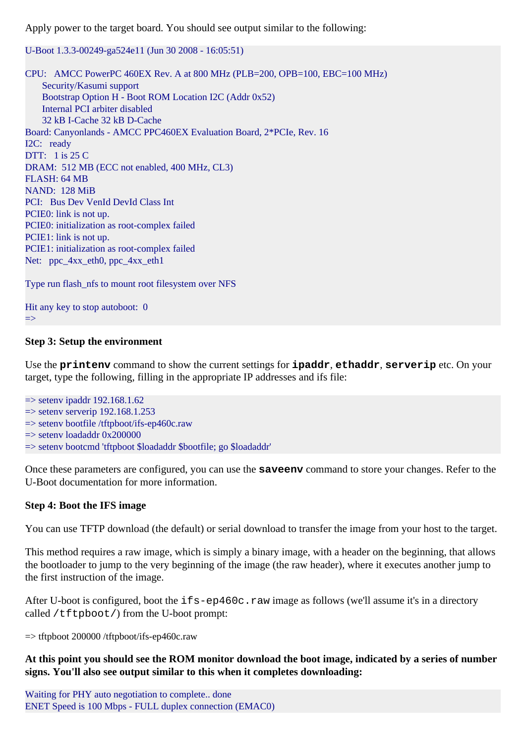Apply power to the target board. You should see output similar to the following:

U-Boot 1.3.3-00249-ga524e11 (Jun 30 2008 - 16:05:51)

CPU: AMCC PowerPC 460EX Rev. A at 800 MHz (PLB=200, OPB=100, EBC=100 MHz) Security/Kasumi support Bootstrap Option H - Boot ROM Location I2C (Addr 0x52) Internal PCI arbiter disabled 32 kB I-Cache 32 kB D-Cache Board: Canyonlands - AMCC PPC460EX Evaluation Board, 2\*PCIe, Rev. 16 I2C: ready DTT: 1 is 25 C DRAM: 512 MB (ECC not enabled, 400 MHz, CL3) FLASH: 64 MB NAND: 128 MiB PCI: Bus Dev VenId DevId Class Int PCIE0: link is not up. PCIE0: initialization as root-complex failed PCIE1: link is not up. PCIE1: initialization as root-complex failed Net: ppc  $4xx$  eth0, ppc  $4xx$  eth1

Type run flash\_nfs to mount root filesystem over NFS

Hit any key to stop autoboot: 0 =>

#### **Step 3: Setup the environment**

Use the **printenv** command to show the current settings for **ipaddr**, **ethaddr**, **serverip** etc. On your target, type the following, filling in the appropriate IP addresses and ifs file:

 $\Rightarrow$  setenv ipaddr 192.168.1.62  $\Rightarrow$  setenv serverip 192.168.1.253  $\Rightarrow$  setenv bootfile /tftpboot/ifs-ep460c.raw  $\Rightarrow$  seteny loadaddr 0x200000 => setenv bootcmd 'tftpboot \$loadaddr \$bootfile; go \$loadaddr'

Once these parameters are configured, you can use the **saveenv** command to store your changes. Refer to the U-Boot documentation for more information.

#### **Step 4: Boot the IFS image**

You can use TFTP download (the default) or serial download to transfer the image from your host to the target.

This method requires a raw image, which is simply a binary image, with a header on the beginning, that allows the bootloader to jump to the very beginning of the image (the raw header), where it executes another jump to the first instruction of the image.

After U-boot is configured, boot the ifs-ep460c.raw image as follows (we'll assume it's in a directory called /tftpboot/) from the U-boot prompt:

=> tftpboot 200000 /tftpboot/ifs-ep460c.raw

**At this point you should see the ROM monitor download the boot image, indicated by a series of number signs. You'll also see output similar to this when it completes downloading:**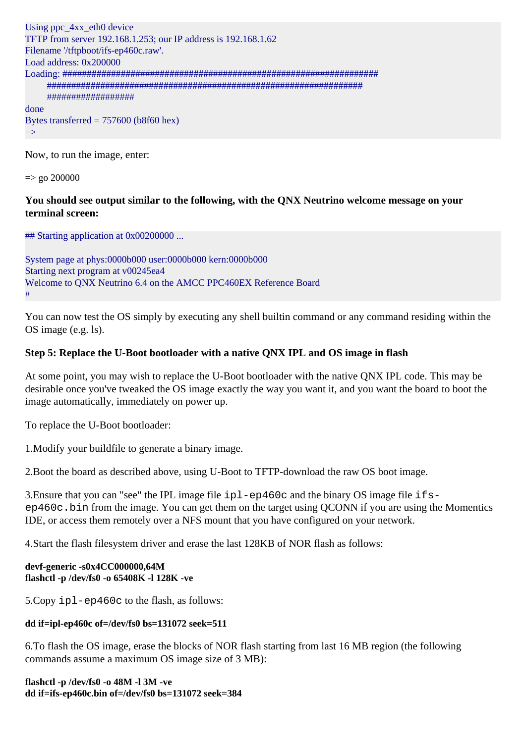```
Using ppc 4xx eth0 device
TFTP from server 192.168.1.253; our IP address is 192.168.1.62
Filename '/tftpboot/ifs-ep460c.raw'.
Load address: 0x200000
Loading: #################################################################
      #################################################################
      ##################
done
Bytes transferred = 757600 (b8f60 hex)
=>
```
Now, to run the image, enter:

 $\Rightarrow$  go 200000

#### **You should see output similar to the following, with the QNX Neutrino welcome message on your terminal screen:**

## Starting application at 0x00200000 ...

System page at phys:0000b000 user:0000b000 kern:0000b000 Starting next program at v00245ea4 Welcome to QNX Neutrino 6.4 on the AMCC PPC460EX Reference Board #

You can now test the OS simply by executing any shell builtin command or any command residing within the OS image (e.g. ls).

#### **Step 5: Replace the U-Boot bootloader with a native QNX IPL and OS image in flash**

At some point, you may wish to replace the U-Boot bootloader with the native QNX IPL code. This may be desirable once you've tweaked the OS image exactly the way you want it, and you want the board to boot the image automatically, immediately on power up.

To replace the U-Boot bootloader:

1.Modify your buildfile to generate a binary image.

2.Boot the board as described above, using U-Boot to TFTP-download the raw OS boot image.

3.Ensure that you can "see" the IPL image file ipl-ep460c and the binary OS image file ifsep460c.bin from the image. You can get them on the target using QCONN if you are using the Momentics IDE, or access them remotely over a NFS mount that you have configured on your network.

4.Start the flash filesystem driver and erase the last 128KB of NOR flash as follows:

#### **devf-generic -s0x4CC000000,64M flashctl -p /dev/fs0 -o 65408K -l 128K -ve**

5.Copy ipl-ep460c to the flash, as follows:

#### **dd if=ipl-ep460c of=/dev/fs0 bs=131072 seek=511**

6.To flash the OS image, erase the blocks of NOR flash starting from last 16 MB region (the following commands assume a maximum OS image size of 3 MB):

**flashctl -p /dev/fs0 -o 48M -l 3M -ve dd if=ifs-ep460c.bin of=/dev/fs0 bs=131072 seek=384**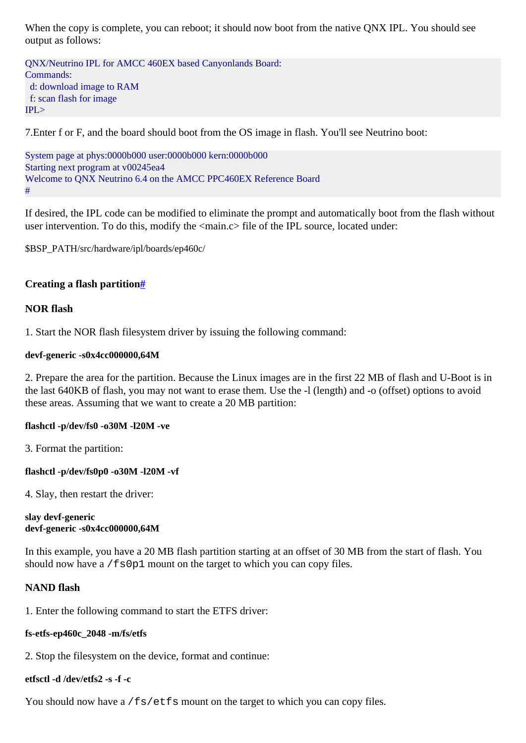When the copy is complete, you can reboot; it should now boot from the native ONX IPL. You should see output as follows:

QNX/Neutrino IPL for AMCC 460EX based Canyonlands Board: Commands: d: download image to RAM f: scan flash for image  $IPL >$ 

7.Enter f or F, and the board should boot from the OS image in flash. You'll see Neutrino boot:

System page at phys:0000b000 user:0000b000 kern:0000b000 Starting next program at v00245ea4 Welcome to QNX Neutrino 6.4 on the AMCC PPC460EX Reference Board #

If desired, the IPL code can be modified to eliminate the prompt and automatically boot from the flash without user intervention. To do this, modify the <main.c> file of the IPL source, located under:

\$BSP\_PATH/src/hardware/ipl/boards/ep460c/

#### <span id="page-3-0"></span>**Creating a flash partition[#](#page-3-0)**

#### **NOR flash**

1. Start the NOR flash filesystem driver by issuing the following command:

#### **devf-generic -s0x4cc000000,64M**

2. Prepare the area for the partition. Because the Linux images are in the first 22 MB of flash and U-Boot is in the last 640KB of flash, you may not want to erase them. Use the -l (length) and -o (offset) options to avoid these areas. Assuming that we want to create a 20 MB partition:

#### **flashctl -p/dev/fs0 -o30M -l20M -ve**

3. Format the partition:

#### **flashctl -p/dev/fs0p0 -o30M -l20M -vf**

4. Slay, then restart the driver:

#### **slay devf-generic devf-generic -s0x4cc000000,64M**

In this example, you have a 20 MB flash partition starting at an offset of 30 MB from the start of flash. You should now have a /fs0p1 mount on the target to which you can copy files.

#### **NAND flash**

1. Enter the following command to start the ETFS driver:

#### **fs-etfs-ep460c\_2048 -m/fs/etfs**

2. Stop the filesystem on the device, format and continue:

## **etfsctl -d /dev/etfs2 -s -f -c**

You should now have a /fs/etfs mount on the target to which you can copy files.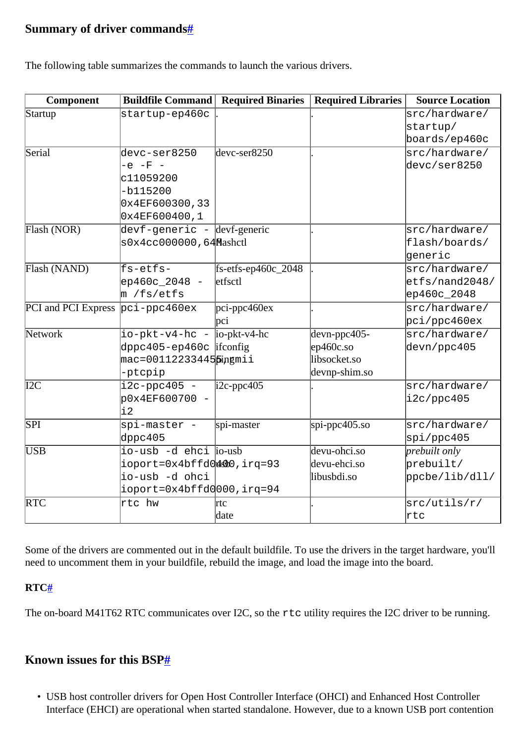## <span id="page-4-0"></span>**Summary of driver command[s#](#page-4-0)**

The following table summarizes the commands to launch the various drivers.

| Component                        | <b>Buildfile Command</b>        | <b>Required Binaries</b> | <b>Required Libraries</b> | <b>Source Location</b>     |
|----------------------------------|---------------------------------|--------------------------|---------------------------|----------------------------|
| Startup                          | startup-ep460c                  |                          |                           | src/hardware/              |
|                                  |                                 |                          |                           | startup/                   |
|                                  |                                 |                          |                           | boards/ep460c              |
| Serial                           | devc-ser8250                    | $devc-ser8250$           |                           | src/hardware/              |
|                                  | $-e$ $-F$ $-$                   |                          |                           | devc/ser8250               |
|                                  | c11059200                       |                          |                           |                            |
|                                  | $-b115200$                      |                          |                           |                            |
|                                  | 0x4EF600300,33                  |                          |                           |                            |
|                                  | 0x4EF600400,1                   |                          |                           |                            |
| Flash (NOR)                      | devf-generic - devf-generic     |                          |                           | src/hardware/              |
|                                  | s0x4cc000000,64Mashctl          |                          |                           | flash/boards/              |
|                                  |                                 |                          |                           | <i>e</i> neric             |
| Flash (NAND)                     | fs-etfs-                        | $fs-effs-ep460c_2048$    |                           | src/hardware/              |
|                                  | ep460c_2048 -                   | etfsctl                  |                           | $\texttt{letfs/nand2048/}$ |
|                                  | m /fs/etfs                      |                          |                           | $ep460c_2048$              |
| PCI and PCI Express pci-ppc460ex |                                 | $pci$ -ppc460ex          |                           | src/hardware/              |
|                                  |                                 | pci                      |                           | pci/ppc460ex               |
| Network                          | $io-pkt-v4-hc - io-pkt-v4-hc$   |                          | $d$ evn-ppc405-           | src/hardware/              |
|                                  | dppc405-ep460c ifconfig         |                          | $ep460c$ .so              | devn/ppc405                |
|                                  | mac=00112233445 <i>p</i> ingmii |                          | libsocket.so              |                            |
|                                  | -ptcpip                         |                          | devnp-shim.so             |                            |
| I2C                              | $i2c$ -ppc $405$ -              | $\text{i2c-ppc405}$      |                           | src/hardware/              |
|                                  | p0x4EF600700 -                  |                          |                           | i2c/ppc405                 |
|                                  | $\frac{1}{2}$                   |                          |                           |                            |
| $\overline{\text{SPI}}$          | spi-master -                    | spi-master               | $spi$ -ppc $405$ .so      | src/hardware/              |
|                                  | d $ppc405$                      |                          |                           | spi/ppc405                 |
| <b>USB</b>                       | io-usb -d ehci io-usb           |                          | devu-ohci.so              | prebuilt only              |
|                                  | ioport=0x4bffd04400,irq=93      |                          | devu-ehci.so              | prebuilt/                  |
|                                  | io-usb -d ohci                  |                          | libusbdi.so               | ppcbe/lib/dll/             |
|                                  | ioport=0x4bffd0000,irq=94       |                          |                           |                            |
| <b>RTC</b>                       | rtc hw                          | rtc                      |                           | src/utils/r/               |
|                                  |                                 | date                     |                           | <b>l</b> rtc               |

Some of the drivers are commented out in the default buildfile. To use the drivers in the target hardware, you'll need to uncomment them in your buildfile, rebuild the image, and load the image into the board.

## <span id="page-4-1"></span>**RTC[#](#page-4-1)**

The on-board M41T62 RTC communicates over I2C, so the rtc utility requires the I2C driver to be running.

## <span id="page-4-2"></span>**Known issues for this BSP[#](#page-4-2)**

• USB host controller drivers for Open Host Controller Interface (OHCI) and Enhanced Host Controller Interface (EHCI) are operational when started standalone. However, due to a known USB port contention